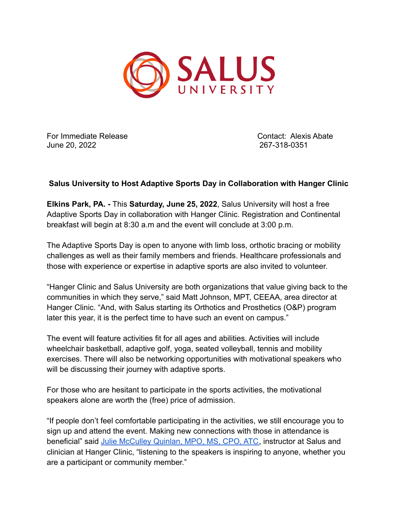

For Immediate Release Contact: Alexis Abate June 20, 2022 267-318-0351

## **Salus University to Host Adaptive Sports Day in Collaboration with Hanger Clinic**

**Elkins Park, PA. -** This **Saturday, June 25, 2022**, Salus University will host a free Adaptive Sports Day in collaboration with Hanger Clinic. Registration and Continental breakfast will begin at 8:30 a.m and the event will conclude at 3:00 p.m.

The Adaptive Sports Day is open to anyone with limb loss, orthotic bracing or mobility challenges as well as their family members and friends. Healthcare professionals and those with experience or expertise in adaptive sports are also invited to volunteer.

"Hanger Clinic and Salus University are both organizations that value giving back to the communities in which they serve," said Matt Johnson, MPT, CEEAA, area director at Hanger Clinic. "And, with Salus starting its Orthotics and Prosthetics (O&P) program later this year, it is the perfect time to have such an event on campus."

The event will feature activities fit for all ages and abilities. Activities will include wheelchair basketball, adaptive golf, yoga, seated volleyball, tennis and mobility exercises. There will also be networking opportunities with motivational speakers who will be discussing their journey with adaptive sports.

For those who are hesitant to participate in the sports activities, the motivational speakers alone are worth the (free) price of admission.

"If people don't feel comfortable participating in the activities, we still encourage you to sign up and attend the event. Making new connections with those in attendance is beneficial" said [Julie McCulley Quinlan, MPO, MS,](https://www.salus.edu/About/Faculty-Directory/Faculty-Pages/McCulley-Quinlan,-Julie.aspx) CPO, ATC, instructor at Salus and clinician at Hanger Clinic, "listening to the speakers is inspiring to anyone, whether you are a participant or community member."